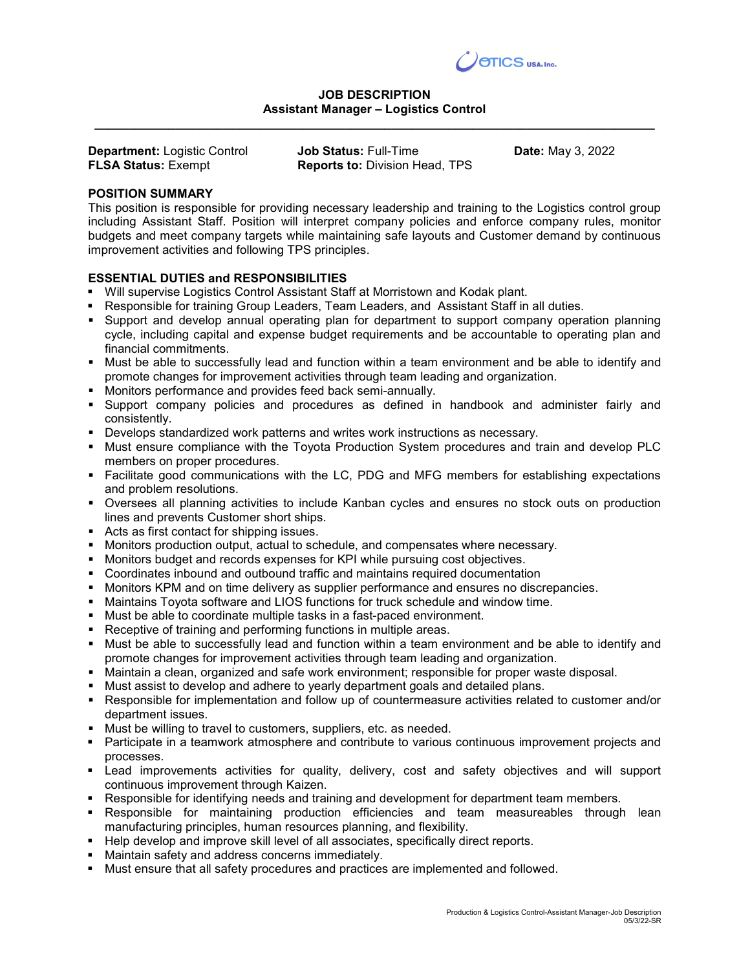

## JOB DESCRIPTION Assistant Manager – Logistics Control \_\_\_\_\_\_\_\_\_\_\_\_\_\_\_\_\_\_\_\_\_\_\_\_\_\_\_\_\_\_\_\_\_\_\_\_\_\_\_\_\_\_\_\_\_\_\_\_\_\_\_\_\_\_\_\_\_\_\_\_\_\_\_\_\_\_\_\_\_\_\_\_\_\_\_\_\_\_\_\_\_\_\_

| <b>Department: Logistic Control</b> | <b>Job Status: Full-Time</b>          | <b>Date:</b> May 3, 2022 |
|-------------------------------------|---------------------------------------|--------------------------|
| <b>FLSA Status: Exempt</b>          | <b>Reports to: Division Head, TPS</b> |                          |

## POSITION SUMMARY

This position is responsible for providing necessary leadership and training to the Logistics control group including Assistant Staff. Position will interpret company policies and enforce company rules, monitor budgets and meet company targets while maintaining safe layouts and Customer demand by continuous improvement activities and following TPS principles.

## ESSENTIAL DUTIES and RESPONSIBILITIES

- Will supervise Logistics Control Assistant Staff at Morristown and Kodak plant.
- **Responsible for training Group Leaders, Team Leaders, and Assistant Staff in all duties.**
- **Support and develop annual operating plan for department to support company operation planning** cycle, including capital and expense budget requirements and be accountable to operating plan and financial commitments.
- Must be able to successfully lead and function within a team environment and be able to identify and promote changes for improvement activities through team leading and organization.
- Monitors performance and provides feed back semi-annually.
- Support company policies and procedures as defined in handbook and administer fairly and consistently.
- Develops standardized work patterns and writes work instructions as necessary.
- **Must ensure compliance with the Toyota Production System procedures and train and develop PLC** members on proper procedures.
- Facilitate good communications with the LC, PDG and MFG members for establishing expectations and problem resolutions.
- Oversees all planning activities to include Kanban cycles and ensures no stock outs on production lines and prevents Customer short ships.
- Acts as first contact for shipping issues.
- **Monitors production output, actual to schedule, and compensates where necessary.**
- **Monitors budget and records expenses for KPI while pursuing cost objectives.**
- Coordinates inbound and outbound traffic and maintains required documentation
- **Monitors KPM and on time delivery as supplier performance and ensures no discrepancies.**
- Maintains Toyota software and LIOS functions for truck schedule and window time.
- Must be able to coordinate multiple tasks in a fast-paced environment.
- Receptive of training and performing functions in multiple areas.
- Must be able to successfully lead and function within a team environment and be able to identify and promote changes for improvement activities through team leading and organization.
- Maintain a clean, organized and safe work environment; responsible for proper waste disposal.
- **Must assist to develop and adhere to yearly department goals and detailed plans.**
- Responsible for implementation and follow up of countermeasure activities related to customer and/or department issues.
- Must be willing to travel to customers, suppliers, etc. as needed.
- Participate in a teamwork atmosphere and contribute to various continuous improvement projects and processes.
- Lead improvements activities for quality, delivery, cost and safety objectives and will support continuous improvement through Kaizen.
- Responsible for identifying needs and training and development for department team members.
- Responsible for maintaining production efficiencies and team measureables through lean manufacturing principles, human resources planning, and flexibility.
- **Help develop and improve skill level of all associates, specifically direct reports.**
- Maintain safety and address concerns immediately.
- Must ensure that all safety procedures and practices are implemented and followed.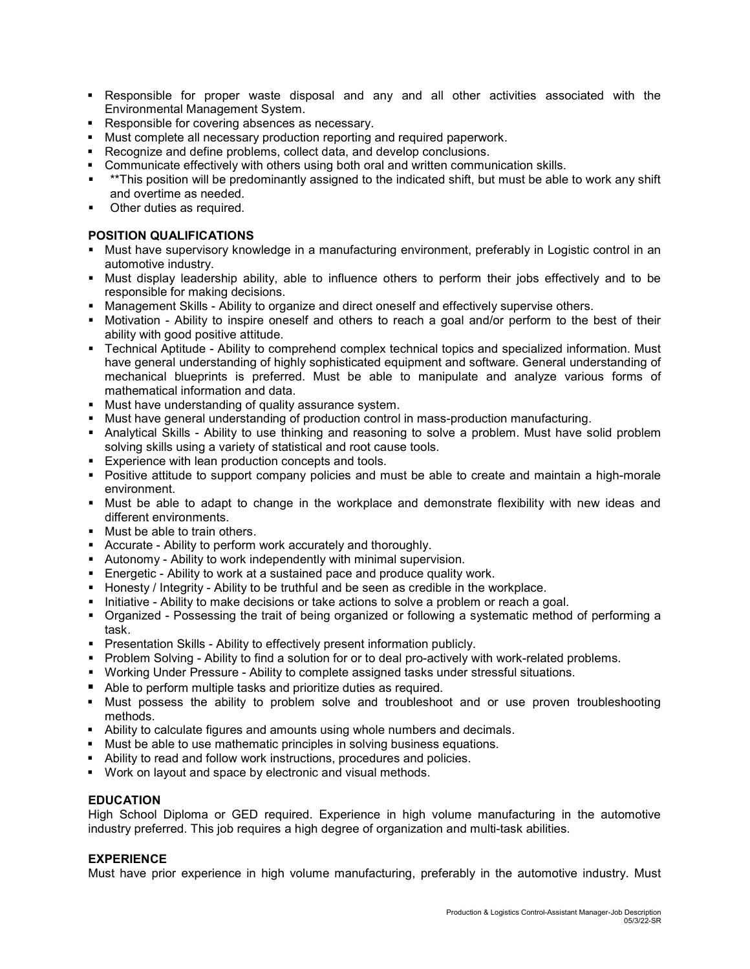- Responsible for proper waste disposal and any and all other activities associated with the Environmental Management System.
- Responsible for covering absences as necessary.
- Must complete all necessary production reporting and required paperwork.
- Recognize and define problems, collect data, and develop conclusions.
- Communicate effectively with others using both oral and written communication skills.
- \*\*This position will be predominantly assigned to the indicated shift, but must be able to work any shift and overtime as needed.
- Other duties as required.

## POSITION QUALIFICATIONS

- Must have supervisory knowledge in a manufacturing environment, preferably in Logistic control in an automotive industry.
- Must display leadership ability, able to influence others to perform their jobs effectively and to be responsible for making decisions.
- **Management Skills Ability to organize and direct oneself and effectively supervise others.**
- Motivation Ability to inspire oneself and others to reach a goal and/or perform to the best of their ability with good positive attitude.
- Technical Aptitude Ability to comprehend complex technical topics and specialized information. Must have general understanding of highly sophisticated equipment and software. General understanding of mechanical blueprints is preferred. Must be able to manipulate and analyze various forms of mathematical information and data.
- Must have understanding of quality assurance system.
- **Must have general understanding of production control in mass-production manufacturing.**
- Analytical Skills Ability to use thinking and reasoning to solve a problem. Must have solid problem solving skills using a variety of statistical and root cause tools.
- **Experience with lean production concepts and tools.**
- Positive attitude to support company policies and must be able to create and maintain a high-morale environment.
- Must be able to adapt to change in the workplace and demonstrate flexibility with new ideas and different environments.
- **Must be able to train others.**
- Accurate Ability to perform work accurately and thoroughly.
- Autonomy Ability to work independently with minimal supervision.
- Energetic Ability to work at a sustained pace and produce quality work.
- $\blacksquare$  Honesty / Integrity Ability to be truthful and be seen as credible in the workplace.
- Initiative Ability to make decisions or take actions to solve a problem or reach a goal.
- Organized Possessing the trait of being organized or following a systematic method of performing a task.
- **Presentation Skills Ability to effectively present information publicly.**
- **Problem Solving Ability to find a solution for or to deal pro-actively with work-related problems.**
- **Working Under Pressure Ability to complete assigned tasks under stressful situations.**
- Able to perform multiple tasks and prioritize duties as required.
- Must possess the ability to problem solve and troubleshoot and or use proven troubleshooting methods.
- Ability to calculate figures and amounts using whole numbers and decimals.
- **Must be able to use mathematic principles in solving business equations.**
- Ability to read and follow work instructions, procedures and policies.
- Work on layout and space by electronic and visual methods.

# **EDUCATION**

High School Diploma or GED required. Experience in high volume manufacturing in the automotive industry preferred. This job requires a high degree of organization and multi-task abilities.

## EXPERIENCE

Must have prior experience in high volume manufacturing, preferably in the automotive industry. Must